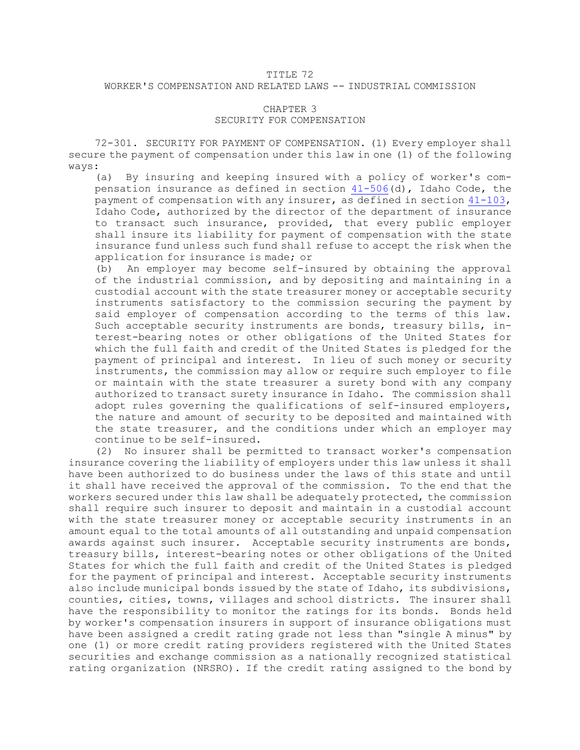## TITLE 72 WORKER'S COMPENSATION AND RELATED LAWS -- INDUSTRIAL COMMISSION

## CHAPTER 3 SECURITY FOR COMPENSATION

72-301. SECURITY FOR PAYMENT OF COMPENSATION. (1) Every employer shall secure the payment of compensation under this law in one (1) of the following ways:

(a) By insuring and keeping insured with <sup>a</sup> policy of worker's compensation insurance as defined in section  $41-506$  (d), Idaho Code, the payment of compensation with any insurer, as defined in section [41-103](https://legislature.idaho.gov/statutesrules/idstat/Title41/T41CH1/SECT41-103), Idaho Code, authorized by the director of the department of insurance to transact such insurance, provided, that every public employer shall insure its liability for payment of compensation with the state insurance fund unless such fund shall refuse to accept the risk when the application for insurance is made; or

(b) An employer may become self-insured by obtaining the approval of the industrial commission, and by depositing and maintaining in <sup>a</sup> custodial account with the state treasurer money or acceptable security instruments satisfactory to the commission securing the payment by said employer of compensation according to the terms of this law. Such acceptable security instruments are bonds, treasury bills, interest-bearing notes or other obligations of the United States for which the full faith and credit of the United States is pledged for the payment of principal and interest. In lieu of such money or security instruments, the commission may allow or require such employer to file or maintain with the state treasurer <sup>a</sup> surety bond with any company authorized to transact surety insurance in Idaho. The commission shall adopt rules governing the qualifications of self-insured employers, the nature and amount of security to be deposited and maintained with the state treasurer, and the conditions under which an employer may continue to be self-insured.

(2) No insurer shall be permitted to transact worker's compensation insurance covering the liability of employers under this law unless it shall have been authorized to do business under the laws of this state and until it shall have received the approval of the commission. To the end that the workers secured under this law shall be adequately protected, the commission shall require such insurer to deposit and maintain in <sup>a</sup> custodial account with the state treasurer money or acceptable security instruments in an amount equal to the total amounts of all outstanding and unpaid compensation awards against such insurer. Acceptable security instruments are bonds, treasury bills, interest-bearing notes or other obligations of the United States for which the full faith and credit of the United States is pledged for the payment of principal and interest. Acceptable security instruments also include municipal bonds issued by the state of Idaho, its subdivisions, counties, cities, towns, villages and school districts. The insurer shall have the responsibility to monitor the ratings for its bonds. Bonds held by worker's compensation insurers in support of insurance obligations must have been assigned <sup>a</sup> credit rating grade not less than "single <sup>A</sup> minus" by one (1) or more credit rating providers registered with the United States securities and exchange commission as <sup>a</sup> nationally recognized statistical rating organization (NRSRO). If the credit rating assigned to the bond by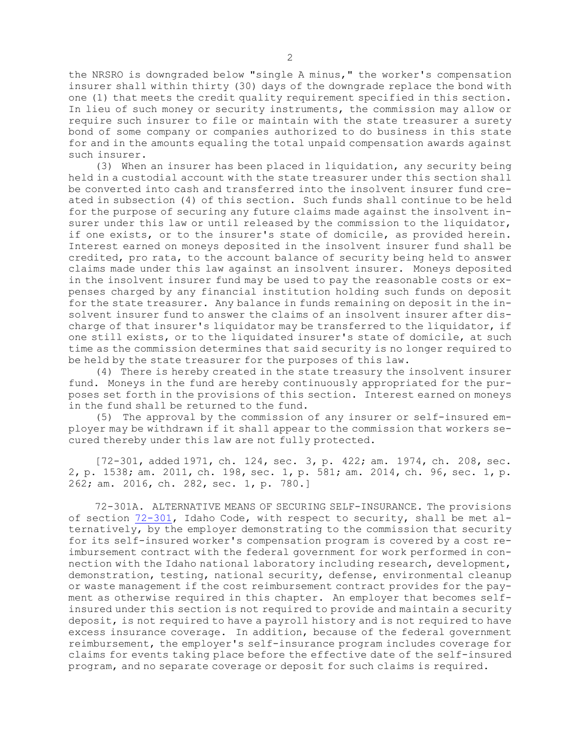the NRSRO is downgraded below "single <sup>A</sup> minus," the worker's compensation insurer shall within thirty (30) days of the downgrade replace the bond with one (1) that meets the credit quality requirement specified in this section. In lieu of such money or security instruments, the commission may allow or require such insurer to file or maintain with the state treasurer <sup>a</sup> surety bond of some company or companies authorized to do business in this state for and in the amounts equaling the total unpaid compensation awards against such insurer.

(3) When an insurer has been placed in liquidation, any security being held in <sup>a</sup> custodial account with the state treasurer under this section shall be converted into cash and transferred into the insolvent insurer fund created in subsection (4) of this section. Such funds shall continue to be held for the purpose of securing any future claims made against the insolvent insurer under this law or until released by the commission to the liquidator, if one exists, or to the insurer's state of domicile, as provided herein. Interest earned on moneys deposited in the insolvent insurer fund shall be credited, pro rata, to the account balance of security being held to answer claims made under this law against an insolvent insurer. Moneys deposited in the insolvent insurer fund may be used to pay the reasonable costs or expenses charged by any financial institution holding such funds on deposit for the state treasurer. Any balance in funds remaining on deposit in the insolvent insurer fund to answer the claims of an insolvent insurer after discharge of that insurer's liquidator may be transferred to the liquidator, if one still exists, or to the liquidated insurer's state of domicile, at such time as the commission determines that said security is no longer required to be held by the state treasurer for the purposes of this law.

(4) There is hereby created in the state treasury the insolvent insurer fund. Moneys in the fund are hereby continuously appropriated for the purposes set forth in the provisions of this section. Interest earned on moneys in the fund shall be returned to the fund.

(5) The approval by the commission of any insurer or self-insured employer may be withdrawn if it shall appear to the commission that workers secured thereby under this law are not fully protected.

[72-301, added 1971, ch. 124, sec. 3, p. 422; am. 1974, ch. 208, sec. 2, p. 1538; am. 2011, ch. 198, sec. 1, p. 581; am. 2014, ch. 96, sec. 1, p. 262; am. 2016, ch. 282, sec. 1, p. 780.]

72-301A. ALTERNATIVE MEANS OF SECURING SELF-INSURANCE. The provisions of section [72-301](https://legislature.idaho.gov/statutesrules/idstat/Title72/T72CH3/SECT72-301), Idaho Code, with respect to security, shall be met alternatively, by the employer demonstrating to the commission that security for its self-insured worker's compensation program is covered by <sup>a</sup> cost reimbursement contract with the federal government for work performed in connection with the Idaho national laboratory including research, development, demonstration, testing, national security, defense, environmental cleanup or waste management if the cost reimbursement contract provides for the payment as otherwise required in this chapter. An employer that becomes selfinsured under this section is not required to provide and maintain <sup>a</sup> security deposit, is not required to have <sup>a</sup> payroll history and is not required to have excess insurance coverage. In addition, because of the federal government reimbursement, the employer's self-insurance program includes coverage for claims for events taking place before the effective date of the self-insured program, and no separate coverage or deposit for such claims is required.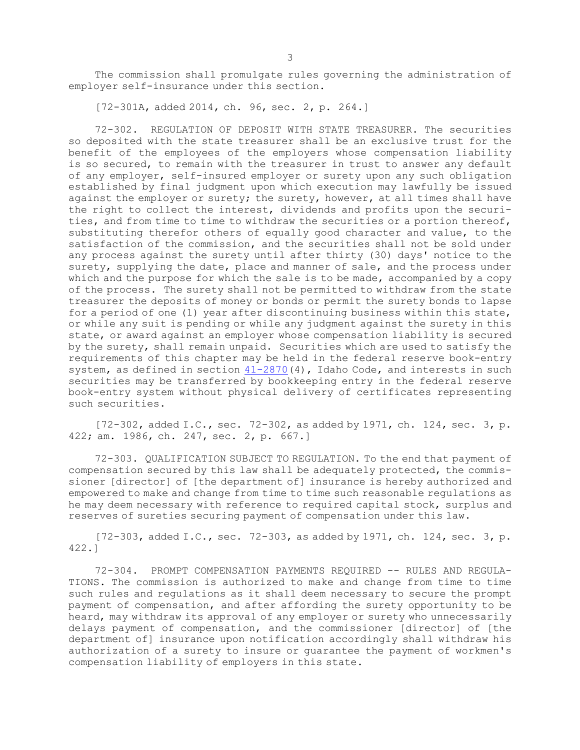The commission shall promulgate rules governing the administration of employer self-insurance under this section.

[72-301A, added 2014, ch. 96, sec. 2, p. 264.]

72-302. REGULATION OF DEPOSIT WITH STATE TREASURER. The securities so deposited with the state treasurer shall be an exclusive trust for the benefit of the employees of the employers whose compensation liability is so secured, to remain with the treasurer in trust to answer any default of any employer, self-insured employer or surety upon any such obligation established by final judgment upon which execution may lawfully be issued against the employer or surety; the surety, however, at all times shall have the right to collect the interest, dividends and profits upon the securities, and from time to time to withdraw the securities or <sup>a</sup> portion thereof, substituting therefor others of equally good character and value, to the satisfaction of the commission, and the securities shall not be sold under any process against the surety until after thirty (30) days' notice to the surety, supplying the date, place and manner of sale, and the process under which and the purpose for which the sale is to be made, accompanied by a copy of the process. The surety shall not be permitted to withdraw from the state treasurer the deposits of money or bonds or permit the surety bonds to lapse for <sup>a</sup> period of one (1) year after discontinuing business within this state, or while any suit is pending or while any judgment against the surety in this state, or award against an employer whose compensation liability is secured by the surety, shall remain unpaid. Securities which are used to satisfy the requirements of this chapter may be held in the federal reserve book-entry system, as defined in section  $41-2870(4)$  $41-2870(4)$ , Idaho Code, and interests in such securities may be transferred by bookkeeping entry in the federal reserve book-entry system without physical delivery of certificates representing such securities.

[72-302, added I.C., sec. 72-302, as added by 1971, ch. 124, sec. 3, p. 422; am. 1986, ch. 247, sec. 2, p. 667.]

72-303. QUALIFICATION SUBJECT TO REGULATION. To the end that payment of compensation secured by this law shall be adequately protected, the commissioner [director] of [the department of] insurance is hereby authorized and empowered to make and change from time to time such reasonable regulations as he may deem necessary with reference to required capital stock, surplus and reserves of sureties securing payment of compensation under this law.

[72-303, added I.C., sec. 72-303, as added by 1971, ch. 124, sec. 3, p. 422.]

72-304. PROMPT COMPENSATION PAYMENTS REQUIRED -- RULES AND REGULA-TIONS. The commission is authorized to make and change from time to time such rules and regulations as it shall deem necessary to secure the prompt payment of compensation, and after affording the surety opportunity to be heard, may withdraw its approval of any employer or surety who unnecessarily delays payment of compensation, and the commissioner [director] of [the department of] insurance upon notification accordingly shall withdraw his authorization of <sup>a</sup> surety to insure or guarantee the payment of workmen's compensation liability of employers in this state.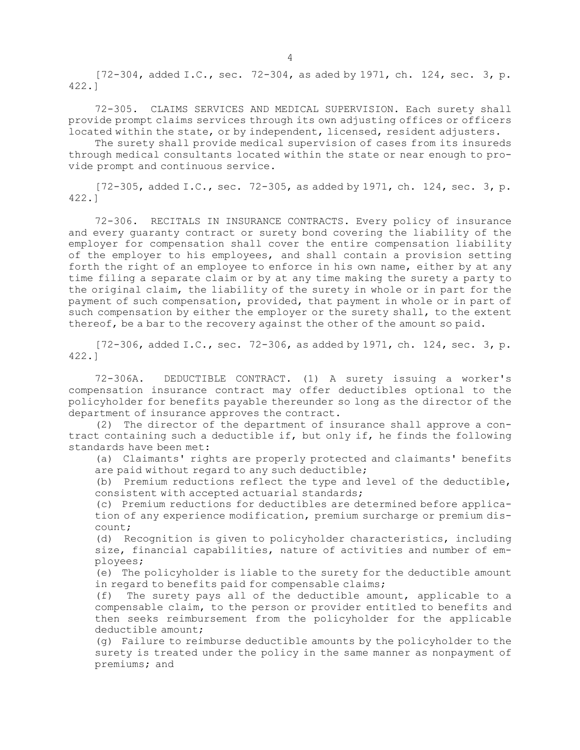[72-304, added I.C., sec. 72-304, as aded by 1971, ch. 124, sec. 3, p. 422.]

72-305. CLAIMS SERVICES AND MEDICAL SUPERVISION. Each surety shall provide prompt claims services through its own adjusting offices or officers located within the state, or by independent, licensed, resident adjusters.

The surety shall provide medical supervision of cases from its insureds through medical consultants located within the state or near enough to provide prompt and continuous service.

[72-305, added I.C., sec. 72-305, as added by 1971, ch. 124, sec. 3, p. 422.]

72-306. RECITALS IN INSURANCE CONTRACTS. Every policy of insurance and every guaranty contract or surety bond covering the liability of the employer for compensation shall cover the entire compensation liability of the employer to his employees, and shall contain <sup>a</sup> provision setting forth the right of an employee to enforce in his own name, either by at any time filing <sup>a</sup> separate claim or by at any time making the surety <sup>a</sup> party to the original claim, the liability of the surety in whole or in part for the payment of such compensation, provided, that payment in whole or in part of such compensation by either the employer or the surety shall, to the extent thereof, be <sup>a</sup> bar to the recovery against the other of the amount so paid.

[72-306, added I.C., sec. 72-306, as added by 1971, ch. 124, sec. 3, p. 422.]

72-306A. DEDUCTIBLE CONTRACT. (1) <sup>A</sup> surety issuing <sup>a</sup> worker's compensation insurance contract may offer deductibles optional to the policyholder for benefits payable thereunder so long as the director of the department of insurance approves the contract.

(2) The director of the department of insurance shall approve <sup>a</sup> contract containing such <sup>a</sup> deductible if, but only if, he finds the following standards have been met:

(a) Claimants' rights are properly protected and claimants' benefits are paid without regard to any such deductible;

(b) Premium reductions reflect the type and level of the deductible, consistent with accepted actuarial standards;

(c) Premium reductions for deductibles are determined before application of any experience modification, premium surcharge or premium discount;

(d) Recognition is given to policyholder characteristics, including size, financial capabilities, nature of activities and number of employees;

(e) The policyholder is liable to the surety for the deductible amount in regard to benefits paid for compensable claims;

(f) The surety pays all of the deductible amount, applicable to <sup>a</sup> compensable claim, to the person or provider entitled to benefits and then seeks reimbursement from the policyholder for the applicable deductible amount;

(g) Failure to reimburse deductible amounts by the policyholder to the surety is treated under the policy in the same manner as nonpayment of premiums; and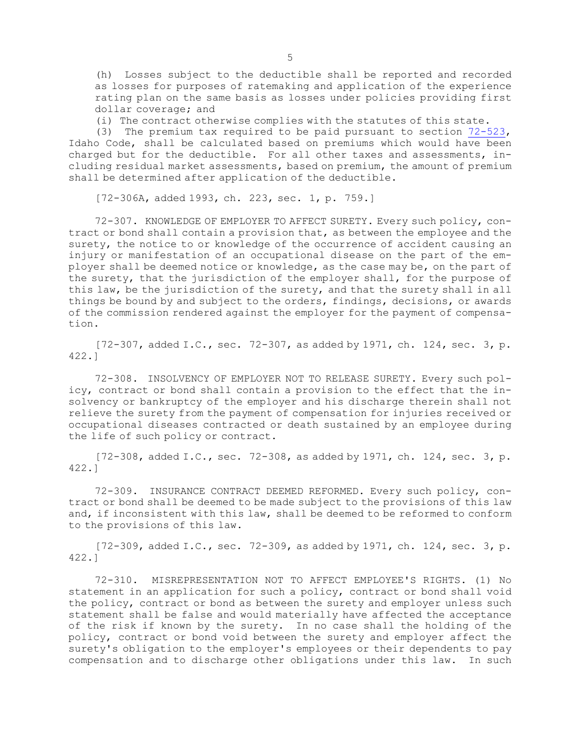(h) Losses subject to the deductible shall be reported and recorded as losses for purposes of ratemaking and application of the experience rating plan on the same basis as losses under policies providing first dollar coverage; and

(i) The contract otherwise complies with the statutes of this state.

(3) The premium tax required to be paid pursuant to section [72-523](https://legislature.idaho.gov/statutesrules/idstat/Title72/T72CH5/SECT72-523), Idaho Code, shall be calculated based on premiums which would have been charged but for the deductible. For all other taxes and assessments, including residual market assessments, based on premium, the amount of premium shall be determined after application of the deductible.

[72-306A, added 1993, ch. 223, sec. 1, p. 759.]

72-307. KNOWLEDGE OF EMPLOYER TO AFFECT SURETY. Every such policy, contract or bond shall contain <sup>a</sup> provision that, as between the employee and the surety, the notice to or knowledge of the occurrence of accident causing an injury or manifestation of an occupational disease on the part of the employer shall be deemed notice or knowledge, as the case may be, on the part of the surety, that the jurisdiction of the employer shall, for the purpose of this law, be the jurisdiction of the surety, and that the surety shall in all things be bound by and subject to the orders, findings, decisions, or awards of the commission rendered against the employer for the payment of compensation.

[72-307, added I.C., sec. 72-307, as added by 1971, ch. 124, sec. 3, p. 422.]

72-308. INSOLVENCY OF EMPLOYER NOT TO RELEASE SURETY. Every such policy, contract or bond shall contain <sup>a</sup> provision to the effect that the insolvency or bankruptcy of the employer and his discharge therein shall not relieve the surety from the payment of compensation for injuries received or occupational diseases contracted or death sustained by an employee during the life of such policy or contract.

 $[72-308, \text{ added I.C., sec. } 72-308, \text{ as added by } 1971, \text{ ch. } 124, \text{ sec. } 3, \text{ p.}$ 422.]

72-309. INSURANCE CONTRACT DEEMED REFORMED. Every such policy, contract or bond shall be deemed to be made subject to the provisions of this law and, if inconsistent with this law, shall be deemed to be reformed to conform to the provisions of this law.

[72-309, added I.C., sec. 72-309, as added by 1971, ch. 124, sec. 3, p. 422.]

72-310. MISREPRESENTATION NOT TO AFFECT EMPLOYEE'S RIGHTS. (1) No statement in an application for such <sup>a</sup> policy, contract or bond shall void the policy, contract or bond as between the surety and employer unless such statement shall be false and would materially have affected the acceptance of the risk if known by the surety. In no case shall the holding of the policy, contract or bond void between the surety and employer affect the surety's obligation to the employer's employees or their dependents to pay compensation and to discharge other obligations under this law. In such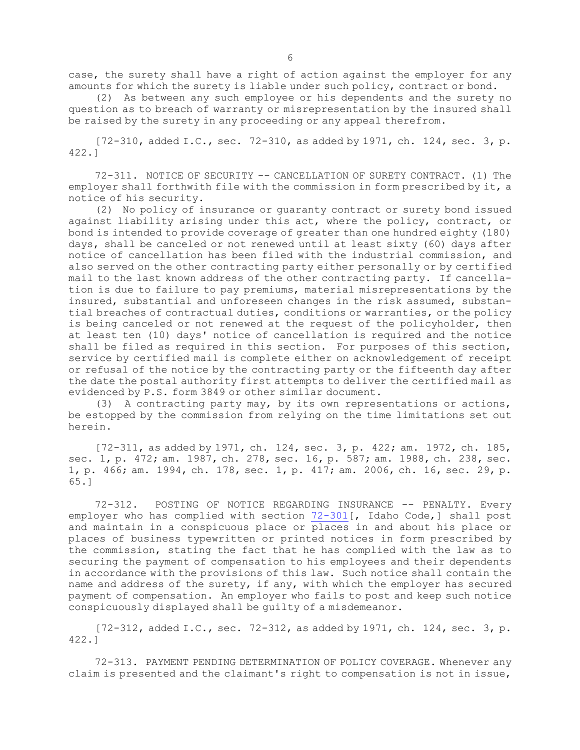case, the surety shall have <sup>a</sup> right of action against the employer for any amounts for which the surety is liable under such policy, contract or bond.

(2) As between any such employee or his dependents and the surety no question as to breach of warranty or misrepresentation by the insured shall be raised by the surety in any proceeding or any appeal therefrom.

[72-310, added I.C., sec. 72-310, as added by 1971, ch. 124, sec. 3, p. 422.]

72-311. NOTICE OF SECURITY -- CANCELLATION OF SURETY CONTRACT. (1) The employer shall forthwith file with the commission in form prescribed by it, <sup>a</sup> notice of his security.

(2) No policy of insurance or guaranty contract or surety bond issued against liability arising under this act, where the policy, contract, or bond is intended to provide coverage of greater than one hundred eighty (180) days, shall be canceled or not renewed until at least sixty (60) days after notice of cancellation has been filed with the industrial commission, and also served on the other contracting party either personally or by certified mail to the last known address of the other contracting party. If cancellation is due to failure to pay premiums, material misrepresentations by the insured, substantial and unforeseen changes in the risk assumed, substantial breaches of contractual duties, conditions or warranties, or the policy is being canceled or not renewed at the request of the policyholder, then at least ten (10) days' notice of cancellation is required and the notice shall be filed as required in this section. For purposes of this section, service by certified mail is complete either on acknowledgement of receipt or refusal of the notice by the contracting party or the fifteenth day after the date the postal authority first attempts to deliver the certified mail as evidenced by P.S. form 3849 or other similar document.

(3) <sup>A</sup> contracting party may, by its own representations or actions, be estopped by the commission from relying on the time limitations set out herein.

[72-311, as added by 1971, ch. 124, sec. 3, p. 422; am. 1972, ch. 185, sec. 1, p. 472; am. 1987, ch. 278, sec. 16, p. 587; am. 1988, ch. 238, sec. 1, p. 466; am. 1994, ch. 178, sec. 1, p. 417; am. 2006, ch. 16, sec. 29, p. 65.]

72-312. POSTING OF NOTICE REGARDING INSURANCE -- PENALTY. Every employer who has complied with section [72-301](https://legislature.idaho.gov/statutesrules/idstat/Title72/T72CH3/SECT72-301)[, Idaho Code,] shall post and maintain in <sup>a</sup> conspicuous place or places in and about his place or places of business typewritten or printed notices in form prescribed by the commission, stating the fact that he has complied with the law as to securing the payment of compensation to his employees and their dependents in accordance with the provisions of this law. Such notice shall contain the name and address of the surety, if any, with which the employer has secured payment of compensation. An employer who fails to post and keep such notice conspicuously displayed shall be guilty of <sup>a</sup> misdemeanor.

 $[72-312,$  added I.C., sec.  $72-312$ , as added by 1971, ch. 124, sec. 3, p. 422.]

72-313. PAYMENT PENDING DETERMINATION OF POLICY COVERAGE. Whenever any claim is presented and the claimant's right to compensation is not in issue,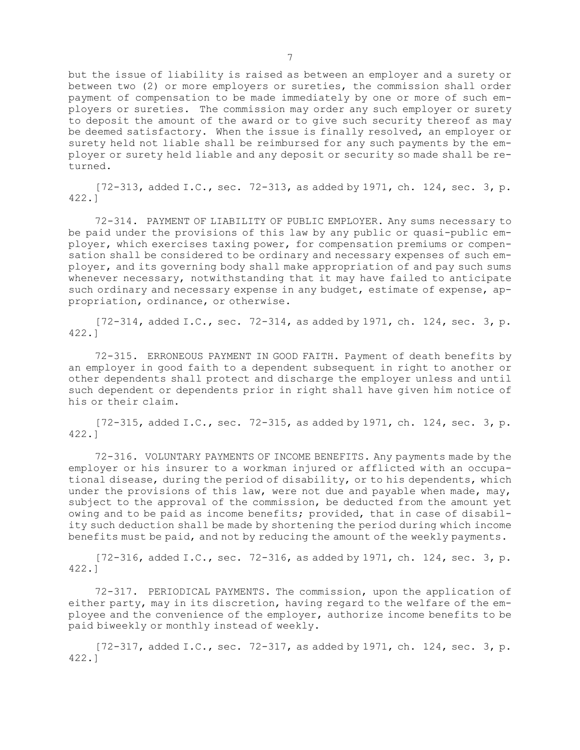but the issue of liability is raised as between an employer and <sup>a</sup> surety or between two (2) or more employers or sureties, the commission shall order payment of compensation to be made immediately by one or more of such employers or sureties. The commission may order any such employer or surety to deposit the amount of the award or to give such security thereof as may be deemed satisfactory. When the issue is finally resolved, an employer or surety held not liable shall be reimbursed for any such payments by the employer or surety held liable and any deposit or security so made shall be returned.

[72-313, added I.C., sec. 72-313, as added by 1971, ch. 124, sec. 3, p. 422.]

72-314. PAYMENT OF LIABILITY OF PUBLIC EMPLOYER. Any sums necessary to be paid under the provisions of this law by any public or quasi-public employer, which exercises taxing power, for compensation premiums or compensation shall be considered to be ordinary and necessary expenses of such employer, and its governing body shall make appropriation of and pay such sums whenever necessary, notwithstanding that it may have failed to anticipate such ordinary and necessary expense in any budget, estimate of expense, appropriation, ordinance, or otherwise.

[72-314, added I.C., sec. 72-314, as added by 1971, ch. 124, sec. 3, p. 422.]

72-315. ERRONEOUS PAYMENT IN GOOD FAITH. Payment of death benefits by an employer in good faith to <sup>a</sup> dependent subsequent in right to another or other dependents shall protect and discharge the employer unless and until such dependent or dependents prior in right shall have given him notice of his or their claim.

 $[72-315,$  added I.C., sec. 72-315, as added by 1971, ch. 124, sec. 3, p. 422.]

72-316. VOLUNTARY PAYMENTS OF INCOME BENEFITS. Any payments made by the employer or his insurer to <sup>a</sup> workman injured or afflicted with an occupational disease, during the period of disability, or to his dependents, which under the provisions of this law, were not due and payable when made, may, subject to the approval of the commission, be deducted from the amount yet owing and to be paid as income benefits; provided, that in case of disability such deduction shall be made by shortening the period during which income benefits must be paid, and not by reducing the amount of the weekly payments.

[72-316, added I.C., sec. 72-316, as added by 1971, ch. 124, sec. 3, p. 422.]

72-317. PERIODICAL PAYMENTS. The commission, upon the application of either party, may in its discretion, having regard to the welfare of the employee and the convenience of the employer, authorize income benefits to be paid biweekly or monthly instead of weekly.

 $[72-317, \text{ added I.C., sec. } 72-317, \text{ as added by } 1971, \text{ ch. } 124, \text{ sec. } 3, \text{ p.}$ 422.]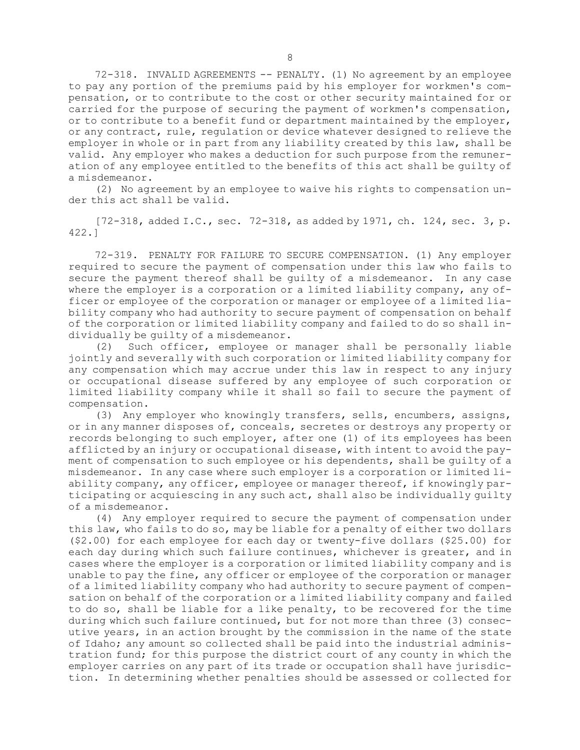72-318. INVALID AGREEMENTS -- PENALTY. (1) No agreement by an employee to pay any portion of the premiums paid by his employer for workmen's compensation, or to contribute to the cost or other security maintained for or carried for the purpose of securing the payment of workmen's compensation, or to contribute to <sup>a</sup> benefit fund or department maintained by the employer, or any contract, rule, regulation or device whatever designed to relieve the employer in whole or in part from any liability created by this law, shall be valid. Any employer who makes <sup>a</sup> deduction for such purpose from the remuneration of any employee entitled to the benefits of this act shall be guilty of <sup>a</sup> misdemeanor.

(2) No agreement by an employee to waive his rights to compensation under this act shall be valid.

[72-318, added I.C., sec. 72-318, as added by 1971, ch. 124, sec. 3, p. 422.]

72-319. PENALTY FOR FAILURE TO SECURE COMPENSATION. (1) Any employer required to secure the payment of compensation under this law who fails to secure the payment thereof shall be guilty of <sup>a</sup> misdemeanor. In any case where the employer is a corporation or a limited liability company, any officer or employee of the corporation or manager or employee of <sup>a</sup> limited liability company who had authority to secure payment of compensation on behalf of the corporation or limited liability company and failed to do so shall individually be guilty of <sup>a</sup> misdemeanor.

(2) Such officer, employee or manager shall be personally liable jointly and severally with such corporation or limited liability company for any compensation which may accrue under this law in respect to any injury or occupational disease suffered by any employee of such corporation or limited liability company while it shall so fail to secure the payment of compensation.

(3) Any employer who knowingly transfers, sells, encumbers, assigns, or in any manner disposes of, conceals, secretes or destroys any property or records belonging to such employer, after one (1) of its employees has been afflicted by an injury or occupational disease, with intent to avoid the payment of compensation to such employee or his dependents, shall be guilty of <sup>a</sup> misdemeanor. In any case where such employer is <sup>a</sup> corporation or limited liability company, any officer, employee or manager thereof, if knowingly participating or acquiescing in any such act, shall also be individually guilty of <sup>a</sup> misdemeanor.

(4) Any employer required to secure the payment of compensation under this law, who fails to do so, may be liable for <sup>a</sup> penalty of either two dollars (\$2.00) for each employee for each day or twenty-five dollars (\$25.00) for each day during which such failure continues, whichever is greater, and in cases where the employer is <sup>a</sup> corporation or limited liability company and is unable to pay the fine, any officer or employee of the corporation or manager of <sup>a</sup> limited liability company who had authority to secure payment of compensation on behalf of the corporation or <sup>a</sup> limited liability company and failed to do so, shall be liable for <sup>a</sup> like penalty, to be recovered for the time during which such failure continued, but for not more than three (3) consecutive years, in an action brought by the commission in the name of the state of Idaho; any amount so collected shall be paid into the industrial administration fund; for this purpose the district court of any county in which the employer carries on any part of its trade or occupation shall have jurisdiction. In determining whether penalties should be assessed or collected for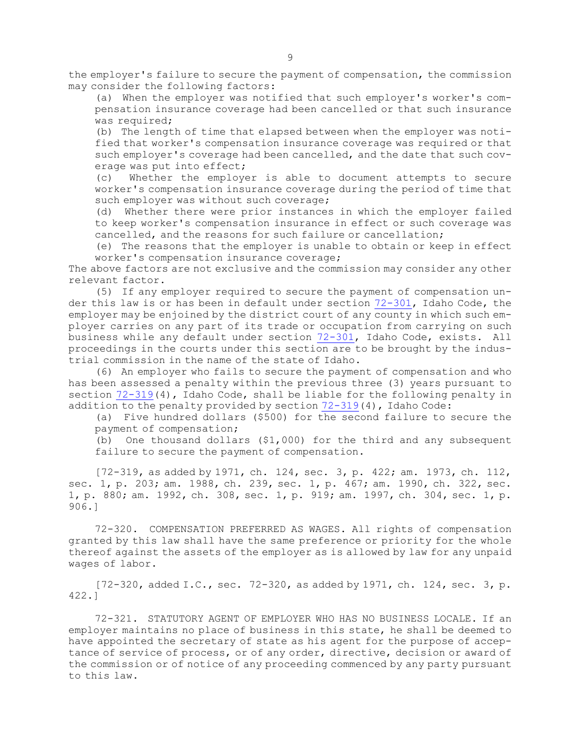the employer's failure to secure the payment of compensation, the commission may consider the following factors:

(a) When the employer was notified that such employer's worker's compensation insurance coverage had been cancelled or that such insurance was required;

(b) The length of time that elapsed between when the employer was notified that worker's compensation insurance coverage was required or that such employer's coverage had been cancelled, and the date that such coverage was put into effect;

(c) Whether the employer is able to document attempts to secure worker's compensation insurance coverage during the period of time that such employer was without such coverage;

(d) Whether there were prior instances in which the employer failed to keep worker's compensation insurance in effect or such coverage was cancelled, and the reasons for such failure or cancellation;

(e) The reasons that the employer is unable to obtain or keep in effect worker's compensation insurance coverage;

The above factors are not exclusive and the commission may consider any other relevant factor.

(5) If any employer required to secure the payment of compensation under this law is or has been in default under section [72-301](https://legislature.idaho.gov/statutesrules/idstat/Title72/T72CH3/SECT72-301), Idaho Code, the employer may be enjoined by the district court of any county in which such employer carries on any part of its trade or occupation from carrying on such business while any default under section [72-301](https://legislature.idaho.gov/statutesrules/idstat/Title72/T72CH3/SECT72-301), Idaho Code, exists. All proceedings in the courts under this section are to be brought by the industrial commission in the name of the state of Idaho.

(6) An employer who fails to secure the payment of compensation and who has been assessed <sup>a</sup> penalty within the previous three (3) years pursuant to section [72-319](https://legislature.idaho.gov/statutesrules/idstat/Title72/T72CH3/SECT72-319)(4), Idaho Code, shall be liable for the following penalty in addition to the penalty provided by section  $72-319(4)$  $72-319(4)$ , Idaho Code:

(a) Five hundred dollars (\$500) for the second failure to secure the payment of compensation;

(b) One thousand dollars (\$1,000) for the third and any subsequent failure to secure the payment of compensation.

[72-319, as added by 1971, ch. 124, sec. 3, p. 422; am. 1973, ch. 112, sec. 1, p. 203; am. 1988, ch. 239, sec. 1, p. 467; am. 1990, ch. 322, sec. 1, p. 880; am. 1992, ch. 308, sec. 1, p. 919; am. 1997, ch. 304, sec. 1, p. 906.]

72-320. COMPENSATION PREFERRED AS WAGES. All rights of compensation granted by this law shall have the same preference or priority for the whole thereof against the assets of the employer as is allowed by law for any unpaid wages of labor.

[72-320, added I.C., sec. 72-320, as added by 1971, ch. 124, sec. 3, p. 422.]

72-321. STATUTORY AGENT OF EMPLOYER WHO HAS NO BUSINESS LOCALE. If an employer maintains no place of business in this state, he shall be deemed to have appointed the secretary of state as his agent for the purpose of acceptance of service of process, or of any order, directive, decision or award of the commission or of notice of any proceeding commenced by any party pursuant to this law.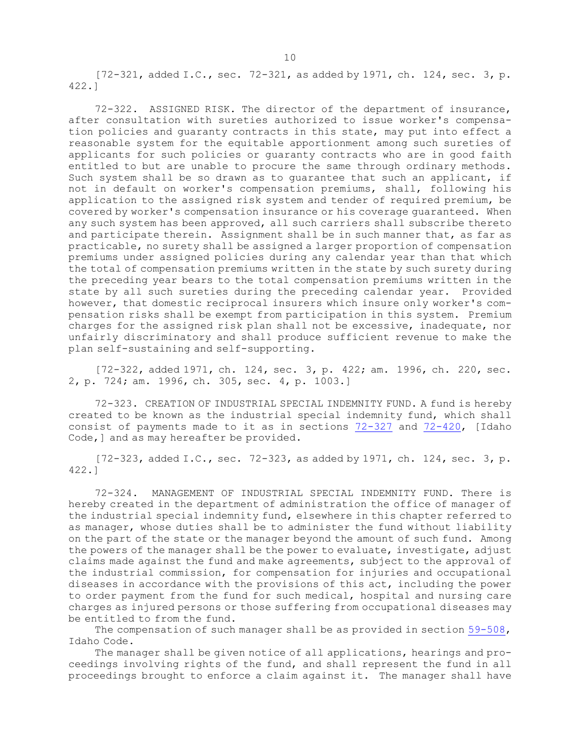[72-321, added I.C., sec. 72-321, as added by 1971, ch. 124, sec. 3, p. 422.]

72-322. ASSIGNED RISK. The director of the department of insurance, after consultation with sureties authorized to issue worker's compensation policies and guaranty contracts in this state, may put into effect <sup>a</sup> reasonable system for the equitable apportionment among such sureties of applicants for such policies or guaranty contracts who are in good faith entitled to but are unable to procure the same through ordinary methods. Such system shall be so drawn as to guarantee that such an applicant, if not in default on worker's compensation premiums, shall, following his application to the assigned risk system and tender of required premium, be covered by worker's compensation insurance or his coverage guaranteed. When any such system has been approved, all such carriers shall subscribe thereto and participate therein. Assignment shall be in such manner that, as far as practicable, no surety shall be assigned <sup>a</sup> larger proportion of compensation premiums under assigned policies during any calendar year than that which the total of compensation premiums written in the state by such surety during the preceding year bears to the total compensation premiums written in the state by all such sureties during the preceding calendar year. Provided however, that domestic reciprocal insurers which insure only worker's compensation risks shall be exempt from participation in this system. Premium charges for the assigned risk plan shall not be excessive, inadequate, nor unfairly discriminatory and shall produce sufficient revenue to make the plan self-sustaining and self-supporting.

[72-322, added 1971, ch. 124, sec. 3, p. 422; am. 1996, ch. 220, sec. 2, p. 724; am. 1996, ch. 305, sec. 4, p. 1003.]

72-323. CREATION OF INDUSTRIAL SPECIAL INDEMNITY FUND. <sup>A</sup> fund is hereby created to be known as the industrial special indemnity fund, which shall consist of payments made to it as in sections [72-327](https://legislature.idaho.gov/statutesrules/idstat/Title72/T72CH3/SECT72-327) and [72-420](https://legislature.idaho.gov/statutesrules/idstat/Title72/T72CH4/SECT72-420), [Idaho Code,] and as may hereafter be provided.

[72-323, added I.C., sec. 72-323, as added by 1971, ch. 124, sec. 3, p. 422.]

72-324. MANAGEMENT OF INDUSTRIAL SPECIAL INDEMNITY FUND. There is hereby created in the department of administration the office of manager of the industrial special indemnity fund, elsewhere in this chapter referred to as manager, whose duties shall be to administer the fund without liability on the part of the state or the manager beyond the amount of such fund. Among the powers of the manager shall be the power to evaluate, investigate, adjust claims made against the fund and make agreements, subject to the approval of the industrial commission, for compensation for injuries and occupational diseases in accordance with the provisions of this act, including the power to order payment from the fund for such medical, hospital and nursing care charges as injured persons or those suffering from occupational diseases may be entitled to from the fund.

The compensation of such manager shall be as provided in section [59-508](https://legislature.idaho.gov/statutesrules/idstat/Title59/T59CH5/SECT59-508), Idaho Code.

The manager shall be given notice of all applications, hearings and proceedings involving rights of the fund, and shall represent the fund in all proceedings brought to enforce <sup>a</sup> claim against it. The manager shall have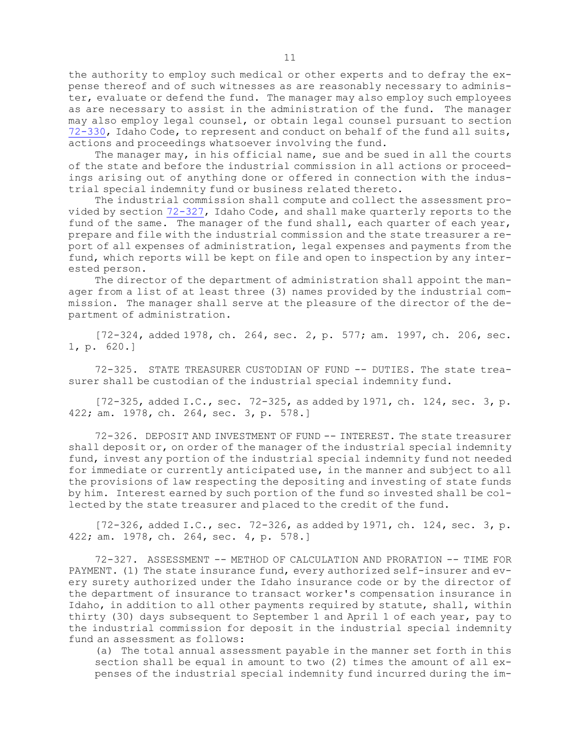the authority to employ such medical or other experts and to defray the expense thereof and of such witnesses as are reasonably necessary to administer, evaluate or defend the fund. The manager may also employ such employees as are necessary to assist in the administration of the fund. The manager may also employ legal counsel, or obtain legal counsel pursuant to section [72-330](https://legislature.idaho.gov/statutesrules/idstat/Title72/T72CH3/SECT72-330), Idaho Code, to represent and conduct on behalf of the fund all suits, actions and proceedings whatsoever involving the fund.

The manager may, in his official name, sue and be sued in all the courts of the state and before the industrial commission in all actions or proceedings arising out of anything done or offered in connection with the industrial special indemnity fund or business related thereto.

The industrial commission shall compute and collect the assessment provided by section [72-327](https://legislature.idaho.gov/statutesrules/idstat/Title72/T72CH3/SECT72-327), Idaho Code, and shall make quarterly reports to the fund of the same. The manager of the fund shall, each quarter of each year, prepare and file with the industrial commission and the state treasurer <sup>a</sup> report of all expenses of administration, legal expenses and payments from the fund, which reports will be kept on file and open to inspection by any interested person.

The director of the department of administration shall appoint the manager from <sup>a</sup> list of at least three (3) names provided by the industrial commission. The manager shall serve at the pleasure of the director of the department of administration.

[72-324, added 1978, ch. 264, sec. 2, p. 577; am. 1997, ch. 206, sec. 1, p. 620.]

72-325. STATE TREASURER CUSTODIAN OF FUND -- DUTIES. The state treasurer shall be custodian of the industrial special indemnity fund.

[72-325, added I.C., sec. 72-325, as added by 1971, ch. 124, sec. 3, p. 422; am. 1978, ch. 264, sec. 3, p. 578.]

72-326. DEPOSIT AND INVESTMENT OF FUND -- INTEREST. The state treasurer shall deposit or, on order of the manager of the industrial special indemnity fund, invest any portion of the industrial special indemnity fund not needed for immediate or currently anticipated use, in the manner and subject to all the provisions of law respecting the depositing and investing of state funds by him. Interest earned by such portion of the fund so invested shall be collected by the state treasurer and placed to the credit of the fund.

 $[72-326, \text{ added I.C., sec. } 72-326, \text{ as added by } 1971, \text{ ch. } 124, \text{ sec. } 3, \text{ p.}$ 422; am. 1978, ch. 264, sec. 4, p. 578.]

72-327. ASSESSMENT -- METHOD OF CALCULATION AND PRORATION -- TIME FOR PAYMENT. (1) The state insurance fund, every authorized self-insurer and every surety authorized under the Idaho insurance code or by the director of the department of insurance to transact worker's compensation insurance in Idaho, in addition to all other payments required by statute, shall, within thirty (30) days subsequent to September 1 and April 1 of each year, pay to the industrial commission for deposit in the industrial special indemnity fund an assessment as follows:

(a) The total annual assessment payable in the manner set forth in this section shall be equal in amount to two (2) times the amount of all expenses of the industrial special indemnity fund incurred during the im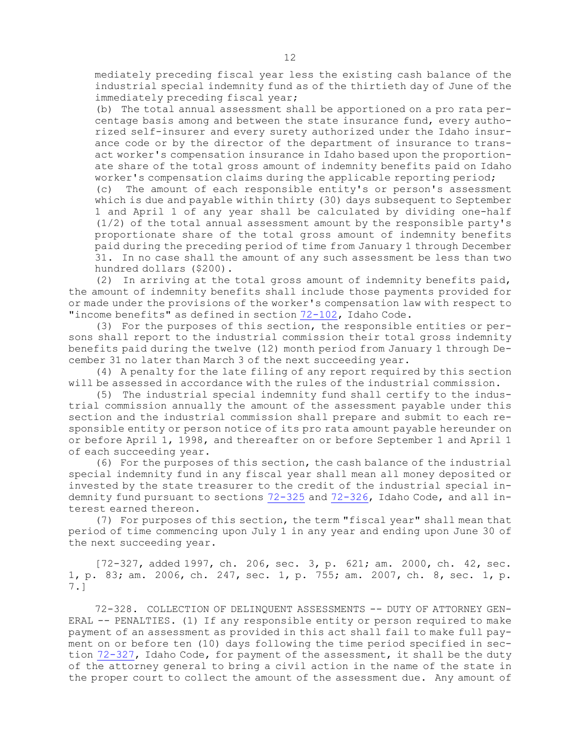mediately preceding fiscal year less the existing cash balance of the industrial special indemnity fund as of the thirtieth day of June of the immediately preceding fiscal year;

(b) The total annual assessment shall be apportioned on <sup>a</sup> pro rata percentage basis among and between the state insurance fund, every authorized self-insurer and every surety authorized under the Idaho insurance code or by the director of the department of insurance to transact worker's compensation insurance in Idaho based upon the proportionate share of the total gross amount of indemnity benefits paid on Idaho worker's compensation claims during the applicable reporting period;

(c) The amount of each responsible entity's or person's assessment which is due and payable within thirty (30) days subsequent to September 1 and April 1 of any year shall be calculated by dividing one-half (1/2) of the total annual assessment amount by the responsible party's proportionate share of the total gross amount of indemnity benefits paid during the preceding period of time from January 1 through December 31. In no case shall the amount of any such assessment be less than two hundred dollars (\$200).

(2) In arriving at the total gross amount of indemnity benefits paid, the amount of indemnity benefits shall include those payments provided for or made under the provisions of the worker's compensation law with respect to "income benefits" as defined in section [72-102](https://legislature.idaho.gov/statutesrules/idstat/Title72/T72CH1/SECT72-102), Idaho Code.

(3) For the purposes of this section, the responsible entities or persons shall report to the industrial commission their total gross indemnity benefits paid during the twelve (12) month period from January 1 through December 31 no later than March 3 of the next succeeding year.

(4) <sup>A</sup> penalty for the late filing of any report required by this section will be assessed in accordance with the rules of the industrial commission.

(5) The industrial special indemnity fund shall certify to the industrial commission annually the amount of the assessment payable under this section and the industrial commission shall prepare and submit to each responsible entity or person notice of its pro rata amount payable hereunder on or before April 1, 1998, and thereafter on or before September 1 and April 1 of each succeeding year.

(6) For the purposes of this section, the cash balance of the industrial special indemnity fund in any fiscal year shall mean all money deposited or invested by the state treasurer to the credit of the industrial special indemnity fund pursuant to sections [72-325](https://legislature.idaho.gov/statutesrules/idstat/Title72/T72CH3/SECT72-325) and [72-326](https://legislature.idaho.gov/statutesrules/idstat/Title72/T72CH3/SECT72-326), Idaho Code, and all interest earned thereon.

(7) For purposes of this section, the term "fiscal year" shall mean that period of time commencing upon July 1 in any year and ending upon June 30 of the next succeeding year.

[72-327, added 1997, ch. 206, sec. 3, p. 621; am. 2000, ch. 42, sec. 1, p. 83; am. 2006, ch. 247, sec. 1, p. 755; am. 2007, ch. 8, sec. 1, p. 7.]

72-328. COLLECTION OF DELINQUENT ASSESSMENTS -- DUTY OF ATTORNEY GEN-ERAL -- PENALTIES. (1) If any responsible entity or person required to make payment of an assessment as provided in this act shall fail to make full payment on or before ten (10) days following the time period specified in section [72-327](https://legislature.idaho.gov/statutesrules/idstat/Title72/T72CH3/SECT72-327), Idaho Code, for payment of the assessment, it shall be the duty of the attorney general to bring <sup>a</sup> civil action in the name of the state in the proper court to collect the amount of the assessment due. Any amount of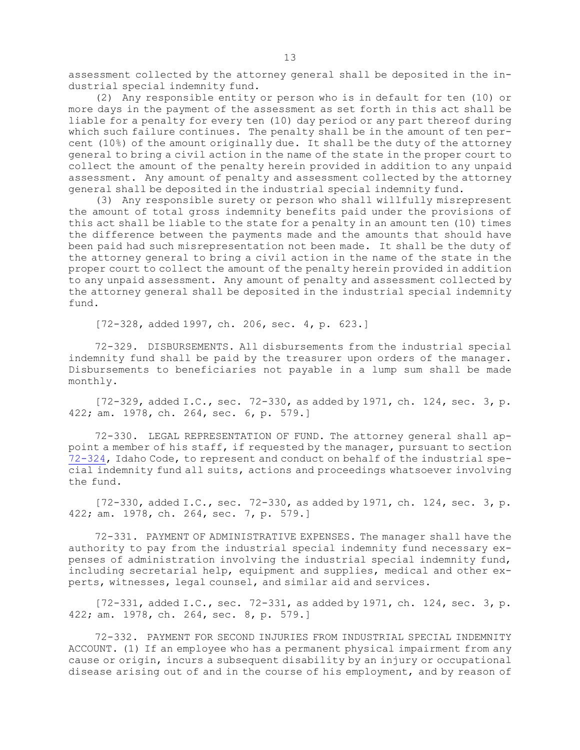assessment collected by the attorney general shall be deposited in the industrial special indemnity fund.

(2) Any responsible entity or person who is in default for ten (10) or more days in the payment of the assessment as set forth in this act shall be liable for <sup>a</sup> penalty for every ten (10) day period or any part thereof during which such failure continues. The penalty shall be in the amount of ten percent (10%) of the amount originally due. It shall be the duty of the attorney general to bring <sup>a</sup> civil action in the name of the state in the proper court to collect the amount of the penalty herein provided in addition to any unpaid assessment. Any amount of penalty and assessment collected by the attorney general shall be deposited in the industrial special indemnity fund.

(3) Any responsible surety or person who shall willfully misrepresent the amount of total gross indemnity benefits paid under the provisions of this act shall be liable to the state for <sup>a</sup> penalty in an amount ten (10) times the difference between the payments made and the amounts that should have been paid had such misrepresentation not been made. It shall be the duty of the attorney general to bring <sup>a</sup> civil action in the name of the state in the proper court to collect the amount of the penalty herein provided in addition to any unpaid assessment. Any amount of penalty and assessment collected by the attorney general shall be deposited in the industrial special indemnity fund.

[72-328, added 1997, ch. 206, sec. 4, p. 623.]

72-329. DISBURSEMENTS. All disbursements from the industrial special indemnity fund shall be paid by the treasurer upon orders of the manager. Disbursements to beneficiaries not payable in <sup>a</sup> lump sum shall be made monthly.

 $[72-329, \text{ added I.C., sec. } 72-330, \text{ as added by } 1971, \text{ ch. } 124, \text{ sec. } 3, \text{ p.}$ 422; am. 1978, ch. 264, sec. 6, p. 579.]

72-330. LEGAL REPRESENTATION OF FUND. The attorney general shall appoint <sup>a</sup> member of his staff, if requested by the manager, pursuant to section [72-324](https://legislature.idaho.gov/statutesrules/idstat/Title72/T72CH3/SECT72-324), Idaho Code, to represent and conduct on behalf of the industrial special indemnity fund all suits, actions and proceedings whatsoever involving the fund.

 $[72-330,$  added I.C., sec.  $72-330,$  as added by 1971, ch. 124, sec. 3, p. 422; am. 1978, ch. 264, sec. 7, p. 579.]

72-331. PAYMENT OF ADMINISTRATIVE EXPENSES. The manager shall have the authority to pay from the industrial special indemnity fund necessary expenses of administration involving the industrial special indemnity fund, including secretarial help, equipment and supplies, medical and other experts, witnesses, legal counsel, and similar aid and services.

[72-331, added I.C., sec. 72-331, as added by 1971, ch. 124, sec. 3, p. 422; am. 1978, ch. 264, sec. 8, p. 579.]

72-332. PAYMENT FOR SECOND INJURIES FROM INDUSTRIAL SPECIAL INDEMNITY ACCOUNT. (1) If an employee who has <sup>a</sup> permanent physical impairment from any cause or origin, incurs <sup>a</sup> subsequent disability by an injury or occupational disease arising out of and in the course of his employment, and by reason of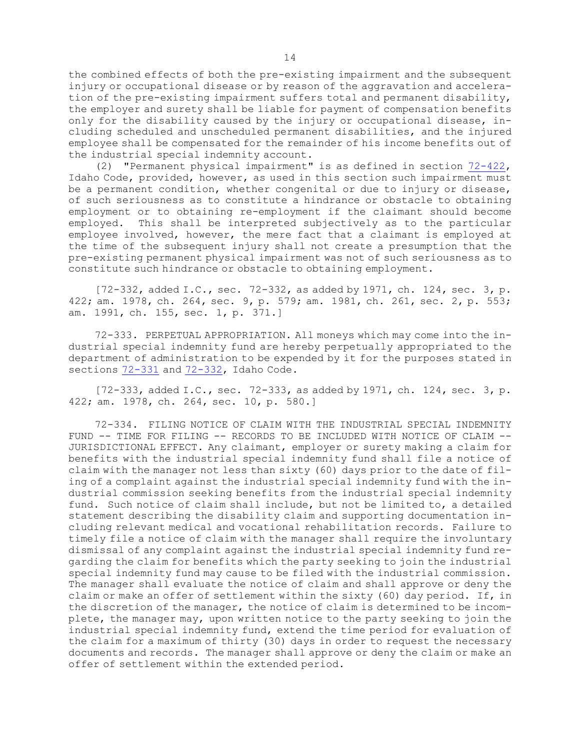the combined effects of both the pre-existing impairment and the subsequent injury or occupational disease or by reason of the aggravation and acceleration of the pre-existing impairment suffers total and permanent disability, the employer and surety shall be liable for payment of compensation benefits only for the disability caused by the injury or occupational disease, including scheduled and unscheduled permanent disabilities, and the injured employee shall be compensated for the remainder of his income benefits out of the industrial special indemnity account.

(2) "Permanent physical impairment" is as defined in section [72-422](https://legislature.idaho.gov/statutesrules/idstat/Title72/T72CH4/SECT72-422), Idaho Code, provided, however, as used in this section such impairment must be <sup>a</sup> permanent condition, whether congenital or due to injury or disease, of such seriousness as to constitute <sup>a</sup> hindrance or obstacle to obtaining employment or to obtaining re-employment if the claimant should become employed. This shall be interpreted subjectively as to the particular employee involved, however, the mere fact that <sup>a</sup> claimant is employed at the time of the subsequent injury shall not create <sup>a</sup> presumption that the pre-existing permanent physical impairment was not of such seriousness as to constitute such hindrance or obstacle to obtaining employment.

[72-332, added I.C., sec. 72-332, as added by 1971, ch. 124, sec. 3, p. 422; am. 1978, ch. 264, sec. 9, p. 579; am. 1981, ch. 261, sec. 2, p. 553; am. 1991, ch. 155, sec. 1, p. 371.]

72-333. PERPETUAL APPROPRIATION. All moneys which may come into the industrial special indemnity fund are hereby perpetually appropriated to the department of administration to be expended by it for the purposes stated in sections  $72-331$  and  $72-332$ , Idaho Code.

[72-333, added I.C., sec. 72-333, as added by 1971, ch. 124, sec. 3, p. 422; am. 1978, ch. 264, sec. 10, p. 580.]

72-334. FILING NOTICE OF CLAIM WITH THE INDUSTRIAL SPECIAL INDEMNITY FUND -- TIME FOR FILING -- RECORDS TO BE INCLUDED WITH NOTICE OF CLAIM -- JURISDICTIONAL EFFECT. Any claimant, employer or surety making <sup>a</sup> claim for benefits with the industrial special indemnity fund shall file <sup>a</sup> notice of claim with the manager not less than sixty (60) days prior to the date of filing of <sup>a</sup> complaint against the industrial special indemnity fund with the industrial commission seeking benefits from the industrial special indemnity fund. Such notice of claim shall include, but not be limited to, <sup>a</sup> detailed statement describing the disability claim and supporting documentation including relevant medical and vocational rehabilitation records. Failure to timely file <sup>a</sup> notice of claim with the manager shall require the involuntary dismissal of any complaint against the industrial special indemnity fund regarding the claim for benefits which the party seeking to join the industrial special indemnity fund may cause to be filed with the industrial commission. The manager shall evaluate the notice of claim and shall approve or deny the claim or make an offer of settlement within the sixty (60) day period. If, in the discretion of the manager, the notice of claim is determined to be incomplete, the manager may, upon written notice to the party seeking to join the industrial special indemnity fund, extend the time period for evaluation of the claim for <sup>a</sup> maximum of thirty (30) days in order to request the necessary documents and records. The manager shall approve or deny the claim or make an offer of settlement within the extended period.